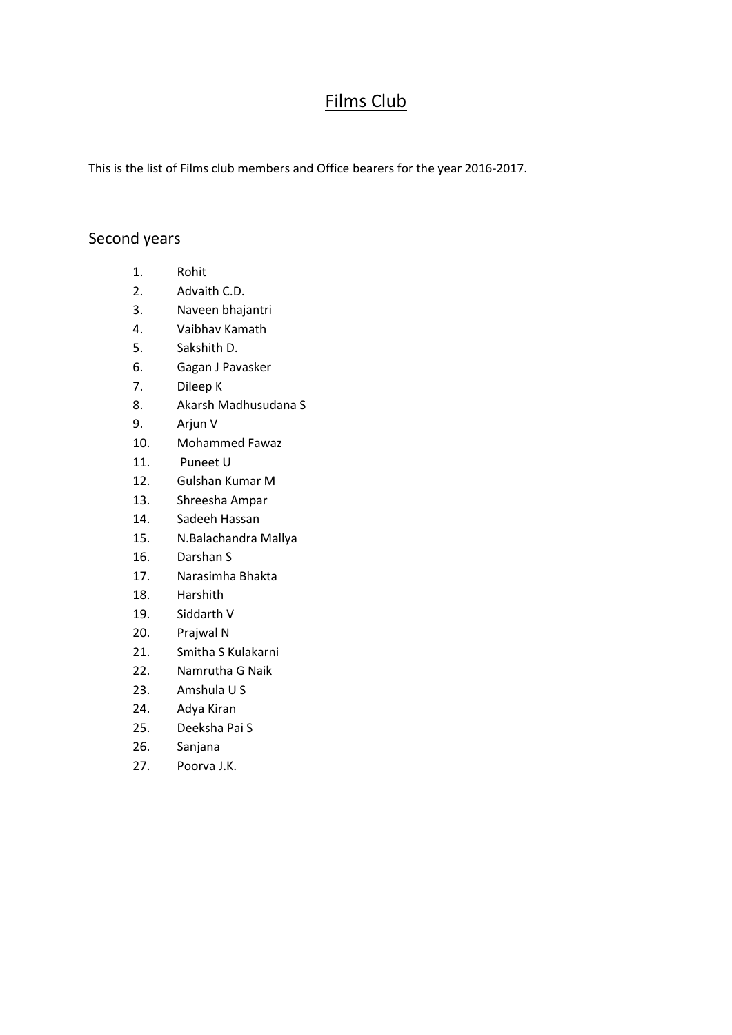## Films Club

This is the list of Films club members and Office bearers for the year 2016-2017.

## Second years

- 1. Rohit
- 2. Advaith C.D.
- 3. Naveen bhajantri
- 4. Vaibhav Kamath
- 5. Sakshith D.
- 6. Gagan J Pavasker
- 7. Dileep K
- 8. Akarsh Madhusudana S
- 9. Arjun V
- 10. Mohammed Fawaz
- 11. Puneet U
- 12. Gulshan Kumar M
- 13. Shreesha Ampar
- 14. Sadeeh Hassan
- 15. N.Balachandra Mallya
- 16. Darshan S
- 17. Narasimha Bhakta
- 18. Harshith
- 19. Siddarth V
- 20. Prajwal N
- 21. Smitha S Kulakarni
- 22. Namrutha G Naik
- 23. Amshula U S
- 24. Adya Kiran
- 25. Deeksha Pai S
- 26. Sanjana
- 27. Poorva J.K.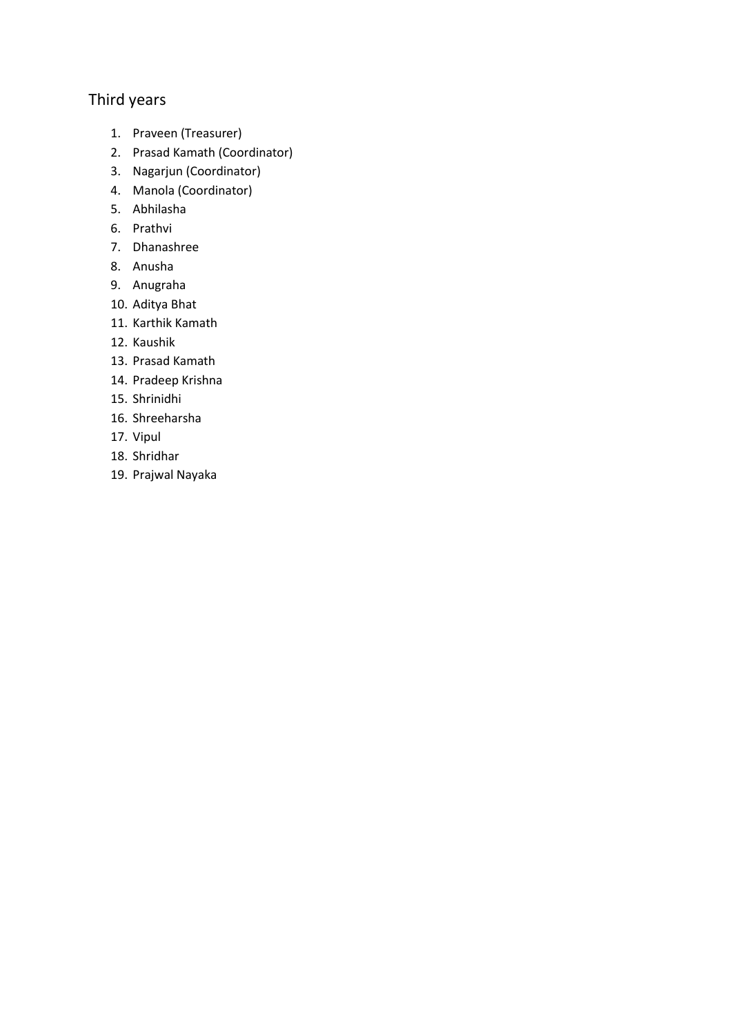## Third years

- 1. Praveen (Treasurer)
- 2. Prasad Kamath (Coordinator)
- 3. Nagarjun (Coordinator)
- 4. Manola (Coordinator)
- 5. Abhilasha
- 6. Prathvi
- 7. Dhanashree
- 8. Anusha
- 9. Anugraha
- 10. Aditya Bhat
- 11. Karthik Kamath
- 12. Kaushik
- 13. Prasad Kamath
- 14. Pradeep Krishna
- 15. Shrinidhi
- 16. Shreeharsha
- 17. Vipul
- 18. Shridhar
- 19. Prajwal Nayaka